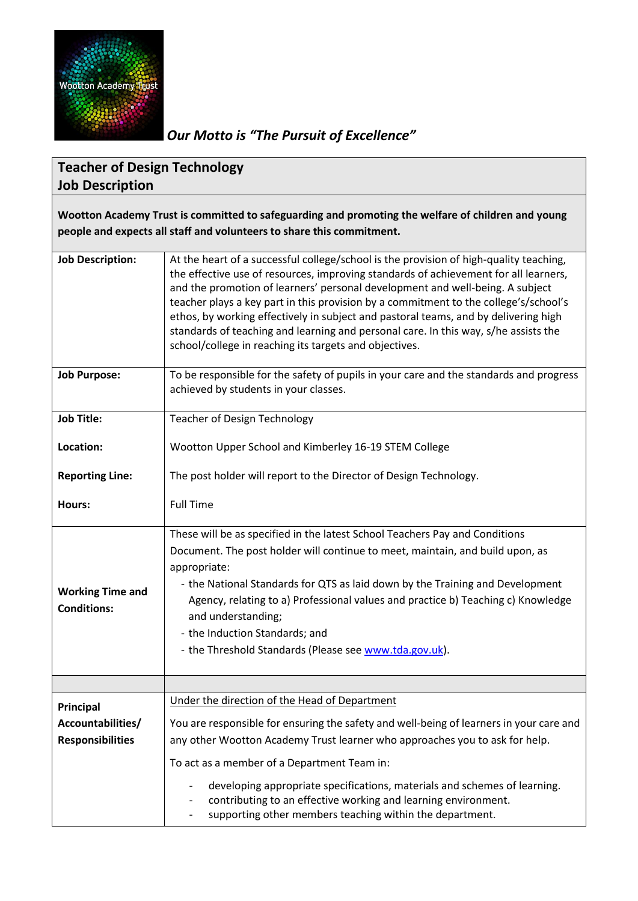

## *Our Motto is "The Pursuit of Excellence"*

## **Teacher of Design Technology Job Description**

**Wootton Academy Trust is committed to safeguarding and promoting the welfare of children and young people and expects all staff and volunteers to share this commitment.**

| <b>Job Description:</b>                       | At the heart of a successful college/school is the provision of high-quality teaching,<br>the effective use of resources, improving standards of achievement for all learners,<br>and the promotion of learners' personal development and well-being. A subject<br>teacher plays a key part in this provision by a commitment to the college's/school's<br>ethos, by working effectively in subject and pastoral teams, and by delivering high<br>standards of teaching and learning and personal care. In this way, s/he assists the<br>school/college in reaching its targets and objectives. |  |  |
|-----------------------------------------------|-------------------------------------------------------------------------------------------------------------------------------------------------------------------------------------------------------------------------------------------------------------------------------------------------------------------------------------------------------------------------------------------------------------------------------------------------------------------------------------------------------------------------------------------------------------------------------------------------|--|--|
| <b>Job Purpose:</b>                           | To be responsible for the safety of pupils in your care and the standards and progress<br>achieved by students in your classes.                                                                                                                                                                                                                                                                                                                                                                                                                                                                 |  |  |
| <b>Job Title:</b>                             | <b>Teacher of Design Technology</b>                                                                                                                                                                                                                                                                                                                                                                                                                                                                                                                                                             |  |  |
| Location:                                     | Wootton Upper School and Kimberley 16-19 STEM College                                                                                                                                                                                                                                                                                                                                                                                                                                                                                                                                           |  |  |
| <b>Reporting Line:</b>                        | The post holder will report to the Director of Design Technology.                                                                                                                                                                                                                                                                                                                                                                                                                                                                                                                               |  |  |
| Hours:                                        | <b>Full Time</b>                                                                                                                                                                                                                                                                                                                                                                                                                                                                                                                                                                                |  |  |
| <b>Working Time and</b><br><b>Conditions:</b> | These will be as specified in the latest School Teachers Pay and Conditions<br>Document. The post holder will continue to meet, maintain, and build upon, as<br>appropriate:<br>- the National Standards for QTS as laid down by the Training and Development<br>Agency, relating to a) Professional values and practice b) Teaching c) Knowledge<br>and understanding;<br>- the Induction Standards; and<br>- the Threshold Standards (Please see www.tda.gov.uk).                                                                                                                             |  |  |
|                                               |                                                                                                                                                                                                                                                                                                                                                                                                                                                                                                                                                                                                 |  |  |
| Principal                                     | Under the direction of the Head of Department                                                                                                                                                                                                                                                                                                                                                                                                                                                                                                                                                   |  |  |
| Accountabilities/                             | You are responsible for ensuring the safety and well-being of learners in your care and                                                                                                                                                                                                                                                                                                                                                                                                                                                                                                         |  |  |
| <b>Responsibilities</b>                       | any other Wootton Academy Trust learner who approaches you to ask for help.                                                                                                                                                                                                                                                                                                                                                                                                                                                                                                                     |  |  |
|                                               | To act as a member of a Department Team in:                                                                                                                                                                                                                                                                                                                                                                                                                                                                                                                                                     |  |  |
|                                               | developing appropriate specifications, materials and schemes of learning.<br>contributing to an effective working and learning environment.<br>supporting other members teaching within the department.                                                                                                                                                                                                                                                                                                                                                                                         |  |  |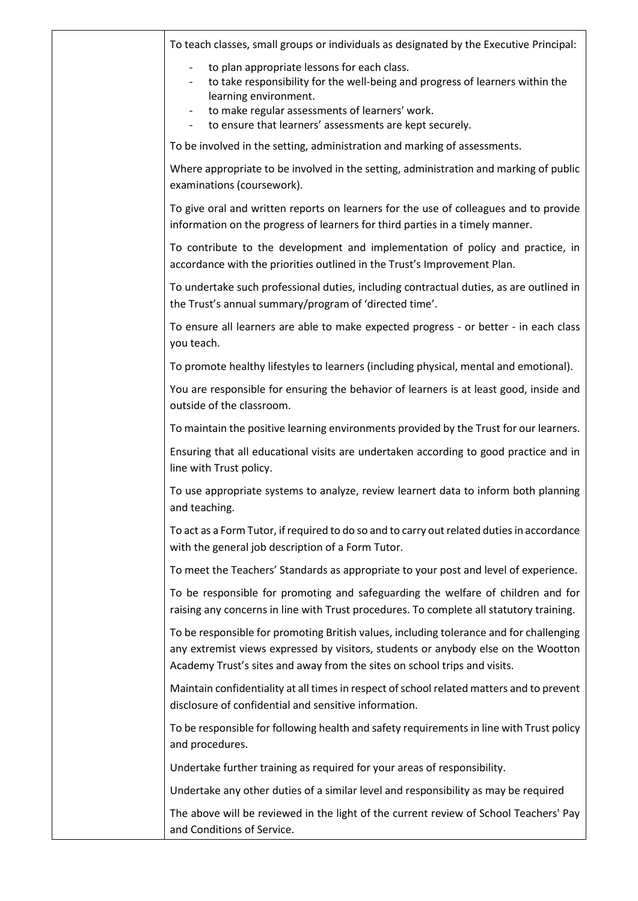| To teach classes, small groups or individuals as designated by the Executive Principal:                                                                                                                                                                    |
|------------------------------------------------------------------------------------------------------------------------------------------------------------------------------------------------------------------------------------------------------------|
| to plan appropriate lessons for each class.<br>to take responsibility for the well-being and progress of learners within the<br>learning environment.<br>to make regular assessments of learners' work.                                                    |
| to ensure that learners' assessments are kept securely.                                                                                                                                                                                                    |
| To be involved in the setting, administration and marking of assessments.                                                                                                                                                                                  |
| Where appropriate to be involved in the setting, administration and marking of public<br>examinations (coursework).                                                                                                                                        |
| To give oral and written reports on learners for the use of colleagues and to provide<br>information on the progress of learners for third parties in a timely manner.                                                                                     |
| To contribute to the development and implementation of policy and practice, in<br>accordance with the priorities outlined in the Trust's Improvement Plan.                                                                                                 |
| To undertake such professional duties, including contractual duties, as are outlined in<br>the Trust's annual summary/program of 'directed time'.                                                                                                          |
| To ensure all learners are able to make expected progress - or better - in each class<br>you teach.                                                                                                                                                        |
| To promote healthy lifestyles to learners (including physical, mental and emotional).                                                                                                                                                                      |
| You are responsible for ensuring the behavior of learners is at least good, inside and<br>outside of the classroom.                                                                                                                                        |
| To maintain the positive learning environments provided by the Trust for our learners.                                                                                                                                                                     |
| Ensuring that all educational visits are undertaken according to good practice and in<br>line with Trust policy.                                                                                                                                           |
| To use appropriate systems to analyze, review learnert data to inform both planning<br>and teaching.                                                                                                                                                       |
| To act as a Form Tutor, if required to do so and to carry out related duties in accordance<br>with the general job description of a Form Tutor.                                                                                                            |
| To meet the Teachers' Standards as appropriate to your post and level of experience.                                                                                                                                                                       |
| To be responsible for promoting and safeguarding the welfare of children and for<br>raising any concerns in line with Trust procedures. To complete all statutory training.                                                                                |
| To be responsible for promoting British values, including tolerance and for challenging<br>any extremist views expressed by visitors, students or anybody else on the Wootton<br>Academy Trust's sites and away from the sites on school trips and visits. |
| Maintain confidentiality at all times in respect of school related matters and to prevent<br>disclosure of confidential and sensitive information.                                                                                                         |
| To be responsible for following health and safety requirements in line with Trust policy<br>and procedures.                                                                                                                                                |
| Undertake further training as required for your areas of responsibility.                                                                                                                                                                                   |
| Undertake any other duties of a similar level and responsibility as may be required                                                                                                                                                                        |
| The above will be reviewed in the light of the current review of School Teachers' Pay<br>and Conditions of Service.                                                                                                                                        |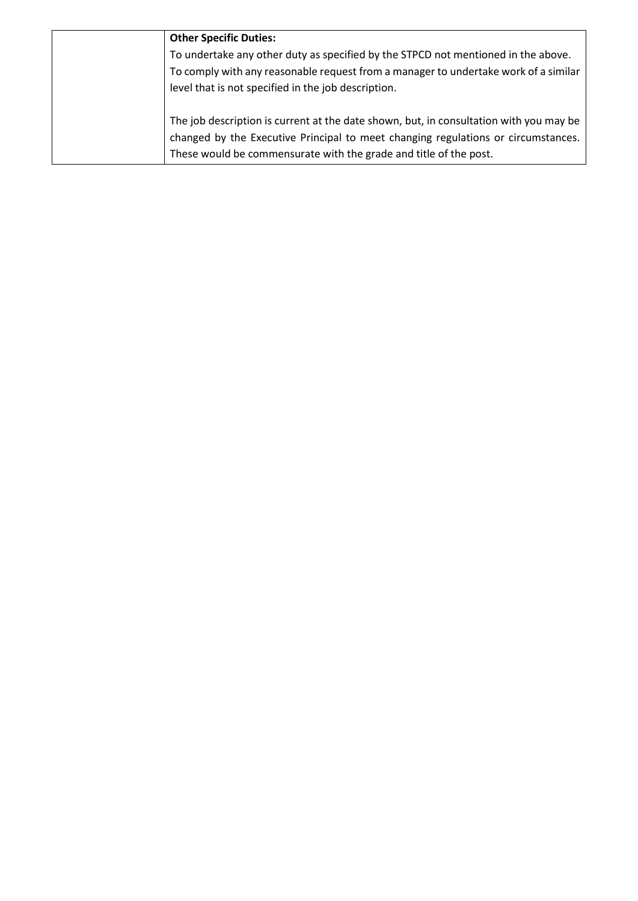| <b>Other Specific Duties:</b>                                                          |
|----------------------------------------------------------------------------------------|
| To undertake any other duty as specified by the STPCD not mentioned in the above.      |
| To comply with any reasonable request from a manager to undertake work of a similar    |
| level that is not specified in the job description.                                    |
|                                                                                        |
| The job description is current at the date shown, but, in consultation with you may be |
| changed by the Executive Principal to meet changing regulations or circumstances.      |
| These would be commensurate with the grade and title of the post.                      |